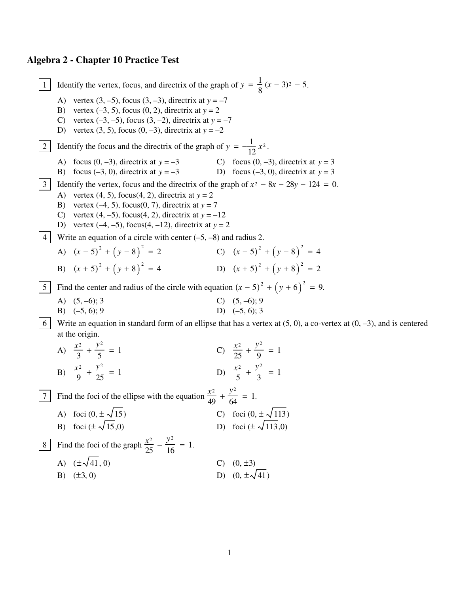## **Algebra 2 - Chapter 10 Practice Test**

Identify the vertex, focus, and directrix of the graph of  $y = \frac{1}{8}(x - 3)^2 - 5$ .  $\mathbf{1}$ A) vertex  $(3, -5)$ , focus  $(3, -3)$ , directrix at  $y = -7$ B) vertex  $(-3, 5)$ , focus  $(0, 2)$ , directrix at  $y = 2$ C) vertex  $(-3, -5)$ , focus  $(3, -2)$ , directrix at  $y = -7$ D) vertex (3, 5), focus (0, -3), directrix at  $y = -2$ Identify the focus and the directrix of the graph of  $y = -\frac{1}{12}x^2$ .  $2\vert$ A) focus  $(0, -3)$ , directrix at  $y = -3$ C) focus  $(0, -3)$ , directrix at  $y = 3$ B) focus  $(-3, 0)$ , directrix at  $y = -3$ D) focus  $(-3, 0)$ , directrix at  $y = 3$ 3 dentify the vertex, focus and the directrix of the graph of  $x^2 - 8x - 28y - 124 = 0$ . A) vertex  $(4, 5)$ , focus $(4, 2)$ , directrix at  $y = 2$ B) vertex  $(-4, 5)$ , focus $(0, 7)$ , directrix at  $y = 7$ C) vertex  $(4, -5)$ , focus $(4, 2)$ , directrix at  $y = -12$ D) vertex  $(-4, -5)$ , focus $(4, -12)$ , directrix at  $y = 2$ 4 Write an equation of a circle with center  $(-5, -8)$  and radius 2. C)  $(x-5)^2 + (y-8)^2 = 4$ A)  $(x-5)^2 + (y-8)^2 = 2$ D)  $(x+5)^2 + (y+8)^2 = 2$ B)  $(x+5)^2 + (y+8)^2 = 4$ Find the center and radius of the circle with equation  $(x - 5)^2 + (y + 6)^2 = 9$ .  $5|$ C)  $(5, -6); 9$ <br>D)  $(-5, 6); 3$ A)  $(5, -6)$ ; 3 B)  $(-5, 6)$ ; 9 6 Write an equation in standard form of an ellipse that has a vertex at  $(5, 0)$ , a co-vertex at  $(0, -3)$ , and is centered at the origin. C)  $\frac{x^2}{25} + \frac{y^2}{9} = 1$ A)  $\frac{x^2}{2} + \frac{y^2}{5} = 1$ D)  $\frac{x^2}{5} + \frac{y^2}{2} = 1$ B)  $\frac{x^2}{9} + \frac{y^2}{25} = 1$ Find the foci of the ellipse with the equation  $\frac{x^2}{49} + \frac{y^2}{64} = 1$ .  $7<sup>1</sup>$ C) foci  $(0, \pm \sqrt{113})$ A) foci  $(0, \pm \sqrt{15})$ D) foci ( $\pm \sqrt{113,0}$ ) B) foci  $(\pm \sqrt{15.0})$ 8 Find the foci of the graph  $\frac{x^2}{25} - \frac{y^2}{16} = 1$ . A)  $(\pm \sqrt{41}, 0)$  $C)$   $(0, \pm 3)$ D)  $(0 + \sqrt{41})$ B)  $(\pm 3, 0)$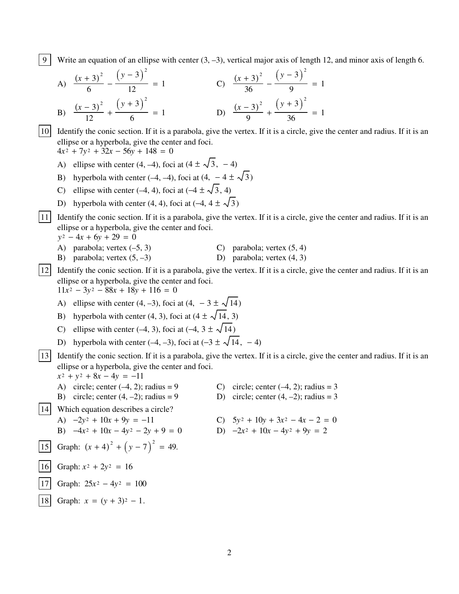9 Write an equation of an ellipse with center  $(3, -3)$ , vertical major axis of length 12, and minor axis of length 6.

A) 
$$
\frac{(x+3)^2}{6} - \frac{(y-3)^2}{12} = 1
$$
  
\nB) 
$$
\frac{(x-3)^2}{12} + \frac{(y+3)^2}{6} = 1
$$
  
\nC) 
$$
\frac{(x+3)^2}{36} - \frac{(y-3)^2}{9} = 1
$$
  
\nD) 
$$
\frac{(x-3)^2}{9} + \frac{(y+3)^2}{36} = 1
$$

10 Identify the conic section. If it is a parabola, give the vertex. If it is a circle, give the center and radius. If it is an ellipse or a hyperbola, give the center and foci.

 $4x^2 + 7y^2 + 32x - 56y + 148 = 0$ 

- A) ellipse with center (4, -4), foci at (4  $\pm \sqrt{3}$ , -4)
- B) hyperbola with center (-4, -4), foci at (4, -4  $\pm \sqrt{3}$ )
- C) ellipse with center (-4, 4), foci at (-4  $\pm \sqrt{3}$ , 4)
- D) hyperbola with center (4, 4), foci at (-4,  $4 \pm \sqrt{3}$ )

11 Identify the conic section. If it is a parabola, give the vertex. If it is a circle, give the center and radius. If it is an ellipse or a hyperbola, give the center and foci.

 $y^2 - 4x + 6y + 29 = 0$ 

- A) parabola; vertex  $(-5, 3)$ C) parabola; vertex  $(5, 4)$
- B) parabola; vertex  $(5, -3)$ D) parabola; vertex  $(4, 3)$

12 Identify the conic section. If it is a parabola, give the vertex. If it is a circle, give the center and radius. If it is an ellipse or a hyperbola, give the center and foci.

 $11x^2 - 3y^2 - 88x + 18y + 116 = 0$ 

A) ellipse with center (4, -3), foci at (4, -3  $\pm \sqrt{14}$ )

- B) hyperbola with center (4, 3), foci at  $(4 \pm \sqrt{14}, 3)$
- C) ellipse with center (-4, 3), foci at (-4,  $3 \pm \sqrt{14}$ )
- D) hyperbola with center (-4, -3), foci at (-3  $\pm \sqrt{14}$ , -4)

13 Identify the conic section. If it is a parabola, give the vertex. If it is a circle, give the center and radius. If it is an ellipse or a hyperbola, give the center and foci.

 $x^2 + y^2 + 8x - 4y = -11$ 

- A) circle; center  $(-4, 2)$ ; radius = 9
- B) circle; center  $(4, -2)$ ; radius = 9

14 Which equation describes a circle?

- A)  $-2y^2 + 10x + 9y = -11$
- B)  $-4x^2 + 10x 4y^2 2y + 9 = 0$

15 | Graph: 
$$
(x + 4)^2 + (y - 7)^2 = 49
$$
.

16 Graph:  $x^2 + 2y^2 = 16$ 

17 Graph:  $25x^2 - 4y^2 = 100$ 

18 Graph:  $x = (y + 3)^2 - 1$ .

- C) circle; center  $(-4, 2)$ ; radius = 3
- D) circle; center  $(4, -2)$ ; radius = 3
- C)  $5y^2 + 10y + 3x^2 4x 2 = 0$
- D)  $-2x^2 + 10x 4y^2 + 9y = 2$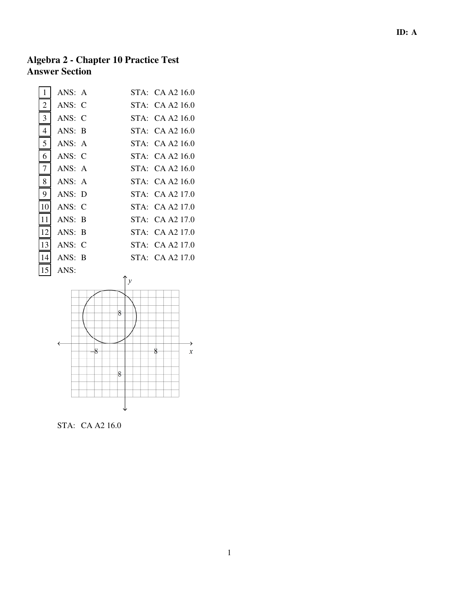## **Algebra 2 - Chapter 10 Practice Test Answer Section**

| 1              | ANS: A |           | STA: CA A2 16.0 |
|----------------|--------|-----------|-----------------|
| $\overline{2}$ | ANS: C |           | STA: CA A2 16.0 |
| 3              | ANS: C |           | STA: CA A2 16.0 |
| $\overline{4}$ | ANS: B |           | STA: CA A2 16.0 |
| 5              | ANS: A |           | STA: CA A2 16.0 |
| 6              | ANS: C |           | STA: CA A2 16.0 |
| 7              | ANS: A |           | STA: CA A2 16.0 |
| 8              | ANS: A |           | STA: CA A2 16.0 |
| 9              | ANS: D |           | STA: CA A2 17.0 |
| 10             | ANS: C |           | STA: CA A2 17.0 |
| 11             | ANS: B |           | STA: CA A2 17.0 |
| 12             | ANS: B |           | STA: CA A2 17.0 |
| 13             | ANS: C |           | STA: CA A2 17.0 |
| 14             | ANS: B |           | STA: CA A2 17.0 |
| 15             | ANS:   | $\lambda$ |                 |



STA: CA A2 16.0

1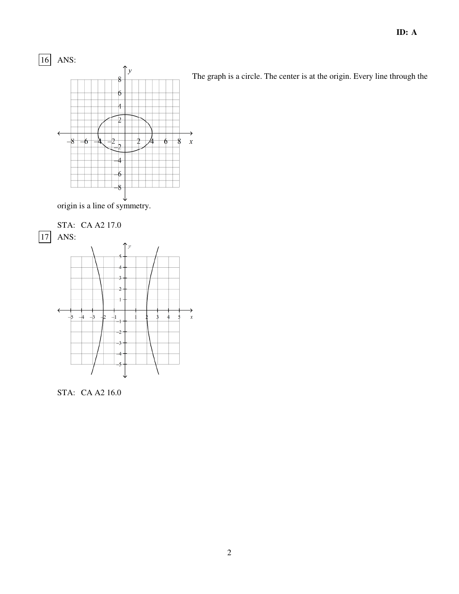

The graph is a circle. The center is at the origin. Every line through the

origin is a line of symmetry.



STA: CA A2 16.0